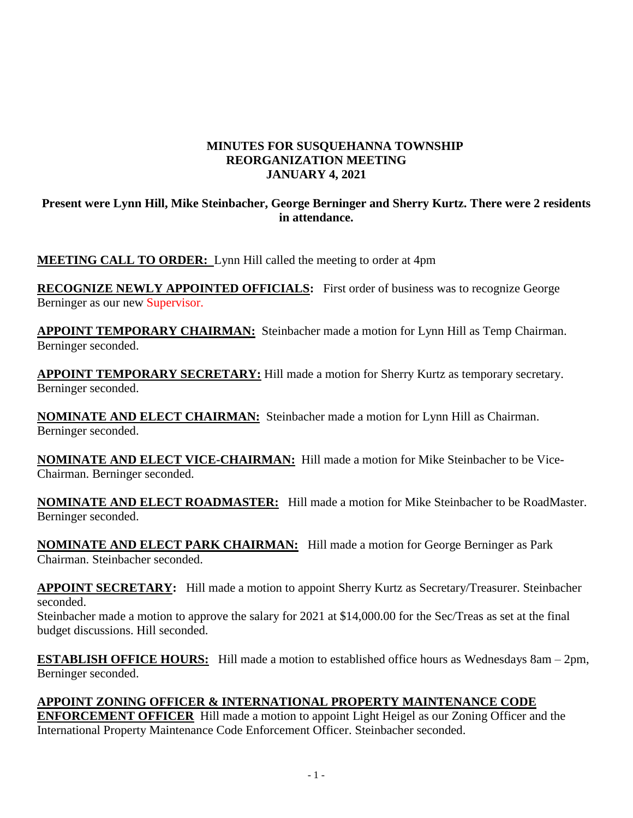# **MINUTES FOR SUSQUEHANNA TOWNSHIP REORGANIZATION MEETING JANUARY 4, 2021**

## **Present were Lynn Hill, Mike Steinbacher, George Berninger and Sherry Kurtz. There were 2 residents in attendance.**

**MEETING CALL TO ORDER:** Lynn Hill called the meeting to order at 4pm

**RECOGNIZE NEWLY APPOINTED OFFICIALS:** First order of business was to recognize George Berninger as our new Supervisor.

**APPOINT TEMPORARY CHAIRMAN:** Steinbacher made a motion for Lynn Hill as Temp Chairman. Berninger seconded.

**APPOINT TEMPORARY SECRETARY:** Hill made a motion for Sherry Kurtz as temporary secretary. Berninger seconded.

**NOMINATE AND ELECT CHAIRMAN:** Steinbacher made a motion for Lynn Hill as Chairman. Berninger seconded.

**NOMINATE AND ELECT VICE-CHAIRMAN:** Hill made a motion for Mike Steinbacher to be Vice-Chairman. Berninger seconded.

**NOMINATE AND ELECT ROADMASTER:** Hill made a motion for Mike Steinbacher to be RoadMaster. Berninger seconded.

**NOMINATE AND ELECT PARK CHAIRMAN:** Hill made a motion for George Berninger as Park Chairman. Steinbacher seconded.

**APPOINT SECRETARY:** Hill made a motion to appoint Sherry Kurtz as Secretary/Treasurer. Steinbacher seconded.

Steinbacher made a motion to approve the salary for 2021 at \$14,000.00 for the Sec/Treas as set at the final budget discussions. Hill seconded.

**ESTABLISH OFFICE HOURS:** Hill made a motion to established office hours as Wednesdays 8am – 2pm, Berninger seconded.

## **APPOINT ZONING OFFICER & INTERNATIONAL PROPERTY MAINTENANCE CODE**

**ENFORCEMENT OFFICER** Hill made a motion to appoint Light Heigel as our Zoning Officer and the International Property Maintenance Code Enforcement Officer. Steinbacher seconded.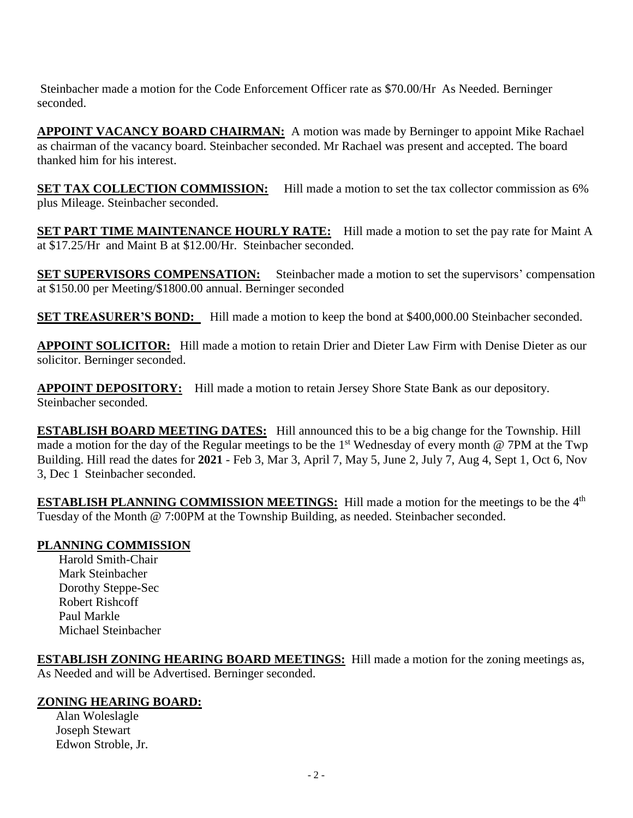Steinbacher made a motion for the Code Enforcement Officer rate as \$70.00/Hr As Needed. Berninger seconded.

**APPOINT VACANCY BOARD CHAIRMAN:** A motion was made by Berninger to appoint Mike Rachael as chairman of the vacancy board. Steinbacher seconded. Mr Rachael was present and accepted. The board thanked him for his interest.

**SET TAX COLLECTION COMMISSION:** Hill made a motion to set the tax collector commission as 6% plus Mileage. Steinbacher seconded.

**SET PART TIME MAINTENANCE HOURLY RATE:** Hill made a motion to set the pay rate for Maint A at \$17.25/Hr and Maint B at \$12.00/Hr. Steinbacher seconded.

**SET SUPERVISORS COMPENSATION:** Steinbacher made a motion to set the supervisors' compensation at \$150.00 per Meeting/\$1800.00 annual. Berninger seconded

**SET TREASURER'S BOND:** Hill made a motion to keep the bond at \$400,000.00 Steinbacher seconded.

**APPOINT SOLICITOR:** Hill made a motion to retain Drier and Dieter Law Firm with Denise Dieter as our solicitor. Berninger seconded.

**APPOINT DEPOSITORY:** Hill made a motion to retain Jersey Shore State Bank as our depository. Steinbacher seconded.

**ESTABLISH BOARD MEETING DATES:** Hill announced this to be a big change for the Township. Hill made a motion for the day of the Regular meetings to be the 1<sup>st</sup> Wednesday of every month @ 7PM at the Twp Building. Hill read the dates for **2021** - Feb 3, Mar 3, April 7, May 5, June 2, July 7, Aug 4, Sept 1, Oct 6, Nov 3, Dec 1 Steinbacher seconded.

**ESTABLISH PLANNING COMMISSION MEETINGS:** Hill made a motion for the meetings to be the 4<sup>th</sup> Tuesday of the Month @ 7:00PM at the Township Building, as needed. Steinbacher seconded.

## **PLANNING COMMISSION**

 Harold Smith-Chair Mark Steinbacher Dorothy Steppe-Sec Robert Rishcoff Paul Markle Michael Steinbacher

**ESTABLISH ZONING HEARING BOARD MEETINGS:** Hill made a motion for the zoning meetings as, As Needed and will be Advertised. Berninger seconded.

## **ZONING HEARING BOARD:**

 Alan Woleslagle Joseph Stewart Edwon Stroble, Jr.